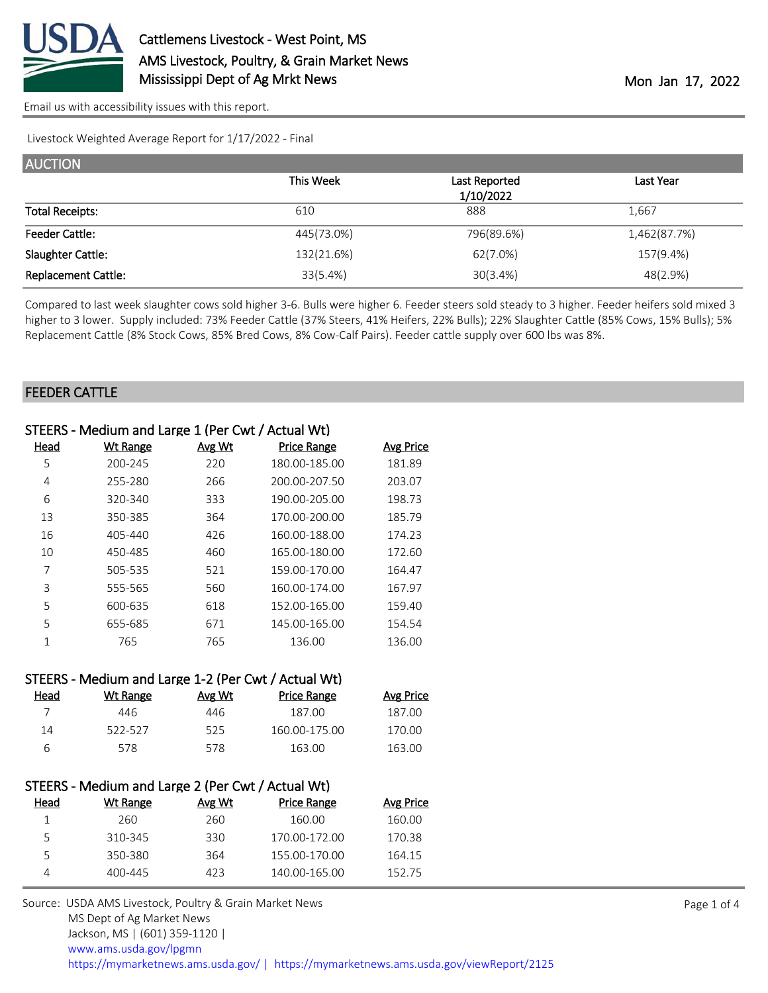

Livestock Weighted Average Report for 1/17/2022 - Final

| <b>AUCTION</b>             |            |               |              |
|----------------------------|------------|---------------|--------------|
|                            | This Week  | Last Reported | Last Year    |
|                            |            | 1/10/2022     |              |
| <b>Total Receipts:</b>     | 610        | 888           | 1,667        |
| <b>Feeder Cattle:</b>      | 445(73.0%) | 796(89.6%)    | 1,462(87.7%) |
| Slaughter Cattle:          | 132(21.6%) | 62(7.0%)      | 157(9.4%)    |
| <b>Replacement Cattle:</b> | 33(5.4%)   | 30(3.4%)      | 48(2.9%)     |

Compared to last week slaughter cows sold higher 3-6. Bulls were higher 6. Feeder steers sold steady to 3 higher. Feeder heifers sold mixed 3 higher to 3 lower. Supply included: 73% Feeder Cattle (37% Steers, 41% Heifers, 22% Bulls); 22% Slaughter Cattle (85% Cows, 15% Bulls); 5% Replacement Cattle (8% Stock Cows, 85% Bred Cows, 8% Cow-Calf Pairs). Feeder cattle supply over 600 lbs was 8%.

#### FEEDER CATTLE

| STEERS - Medium and Large 1 (Per Cwt / Actual Wt) |                                                     |        |                    |                  |  |
|---------------------------------------------------|-----------------------------------------------------|--------|--------------------|------------------|--|
| Head                                              | <b>Wt Range</b>                                     | Avg Wt | <b>Price Range</b> | <b>Avg Price</b> |  |
| 5                                                 | 200-245                                             | 220    | 180.00-185.00      | 181.89           |  |
| 4                                                 | 255-280                                             | 266    | 200.00-207.50      | 203.07           |  |
| 6                                                 | 320-340                                             | 333    | 190.00-205.00      | 198.73           |  |
| 13                                                | 350-385                                             | 364    | 170.00-200.00      | 185.79           |  |
| 16                                                | 405-440                                             | 426    | 160.00-188.00      | 174.23           |  |
| 10                                                | 450-485                                             | 460    | 165.00-180.00      | 172.60           |  |
| 7                                                 | 505-535                                             | 521    | 159.00-170.00      | 164.47           |  |
| 3                                                 | 555-565                                             | 560    | 160.00-174.00      | 167.97           |  |
| 5                                                 | 600-635                                             | 618    | 152.00-165.00      | 159.40           |  |
| 5                                                 | 655-685                                             | 671    | 145.00-165.00      | 154.54           |  |
| $\mathbf{1}$                                      | 765                                                 | 765    | 136.00             | 136.00           |  |
|                                                   | STEERS - Medium and Large 1-2 (Per Cwt / Actual Wt) |        |                    |                  |  |
| <u>Head</u>                                       | <b>Wt Range</b>                                     | Avg Wt | <b>Price Range</b> | <b>Avg Price</b> |  |
| 7                                                 | 446                                                 | 446    | 187.00             | 187.00           |  |
| 14                                                | 522-527                                             | 525    | 160.00-175.00      | 170.00           |  |
| 6                                                 | 578                                                 | 578    | 163.00             | 163.00           |  |
|                                                   | STEERS - Medium and Large 2 (Per Cwt / Actual Wt)   |        |                    |                  |  |
| Head                                              | <b>Wt Range</b>                                     | Avg Wt | <b>Price Range</b> | <b>Avg Price</b> |  |

| Wt Range | Avg Wt | <b>Price Range</b> | Avg Price |
|----------|--------|--------------------|-----------|
| 260.     | 260    | 160.00             | 160.00    |
| 310-345  | 330    | 170.00-172.00      | 170.38    |
| 350-380  | 364    | 155.00-170.00      | 164.15    |
| 400-445  | 423    | 140.00-165.00      | 152.75    |
|          |        |                    |           |

Source: USDA AMS Livestock, Poultry & Grain Market News MS Dept of Ag Market News Jackson, MS | (601) 359-1120 | [www.ams.usda.gov/lpgmn](https://www.ams.usda.gov/market-news) <https://mymarketnews.ams.usda.gov/> [|](https://www.ams.usda.gov/market-news) <https://mymarketnews.ams.usda.gov/viewReport/2125>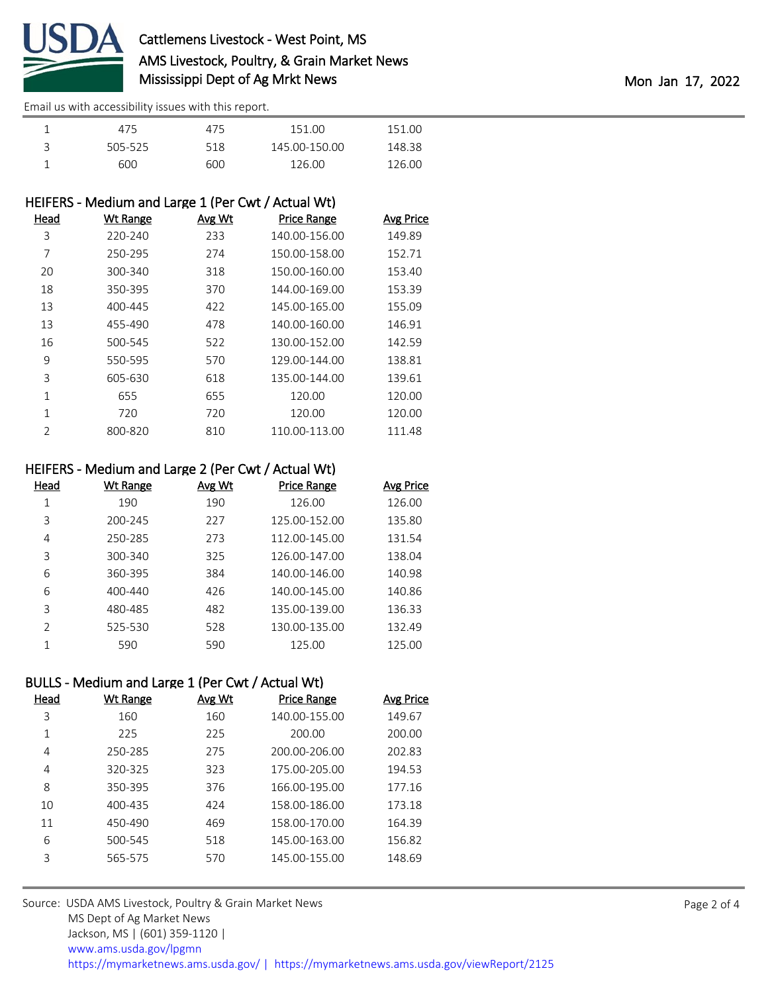

| 475     | 475 | 151.00        | 151.00 |  |
|---------|-----|---------------|--------|--|
| 505-525 | 518 | 145.00-150.00 | 148.38 |  |
| 600     | 600 | 126.00        | 126.00 |  |

# HEIFERS - Medium and Large 1 (Per Cwt / Actual Wt)

|         | Avg Wt | <b>Price Range</b> | <b>Avg Price</b> |
|---------|--------|--------------------|------------------|
| 220-240 | 233    | 140.00-156.00      | 149.89           |
| 250-295 | 274    | 150.00-158.00      | 152.71           |
| 300-340 | 318    | 150.00-160.00      | 153.40           |
| 350-395 | 370    | 144.00-169.00      | 153.39           |
| 400-445 | 422    | 145.00-165.00      | 155.09           |
| 455-490 | 478    | 140.00-160.00      | 146.91           |
| 500-545 | 522    | 130.00-152.00      | 142.59           |
| 550-595 | 570    | 129.00-144.00      | 138.81           |
| 605-630 | 618    | 135.00-144.00      | 139.61           |
| 655     | 655    | 120.00             | 120.00           |
| 720     | 720    | 120.00             | 120.00           |
| 800-820 | 810    | 110.00-113.00      | 111.48           |
|         |        |                    |                  |

### HEIFERS - Medium and Large 2 (Per Cwt / Actual Wt)

| Head          | Wt Range    | Avg Wt | <b>Price Range</b> | <b>Avg Price</b> |
|---------------|-------------|--------|--------------------|------------------|
| 1             | 190         | 190    | 126.00             | 126.00           |
| 3             | 200-245     | 227    | 125.00-152.00      | 135.80           |
| 4             | 250-285     | 273    | 112.00-145.00      | 131.54           |
| 3             | 300-340     | 325    | 126.00-147.00      | 138.04           |
| 6             | 360-395     | 384    | 140.00-146.00      | 140.98           |
| 6             | $400 - 440$ | 426    | 140.00-145.00      | 140.86           |
| 3             | 480-485     | 482    | 135.00-139.00      | 136.33           |
| $\mathcal{P}$ | 525-530     | 528    | 130.00-135.00      | 132.49           |
| 1             | 590         | 590    | 125.00             | 125.00           |

## BULLS - Medium and Large 1 (Per Cwt / Actual Wt)

| Head | <b>Wt Range</b> | Avg Wt | Price Range   | <b>Avg Price</b> |
|------|-----------------|--------|---------------|------------------|
| 3    | 160             | 160    | 140.00-155.00 | 149.67           |
| 1    | 225             | 225    | 200.00        | 200.00           |
| 4    | 250-285         | 275    | 200.00-206.00 | 202.83           |
| 4    | 320-325         | 323    | 175.00-205.00 | 194.53           |
| 8    | 350-395         | 376    | 166.00-195.00 | 177.16           |
| 10   | 400-435         | 424    | 158.00-186.00 | 173.18           |
| 11   | 450-490         | 469    | 158.00-170.00 | 164.39           |
| 6    | 500-545         | 518    | 145.00-163.00 | 156.82           |
| 3    | 565-575         | 570    | 145.00-155.00 | 148.69           |
|      |                 |        |               |                  |

Source: USDA AMS Livestock, Poultry & Grain Market News MS Dept of Ag Market News Jackson, MS | (601) 359-1120 | [www.ams.usda.gov/lpgmn](https://www.ams.usda.gov/market-news) <https://mymarketnews.ams.usda.gov/> [|](https://www.ams.usda.gov/market-news) <https://mymarketnews.ams.usda.gov/viewReport/2125>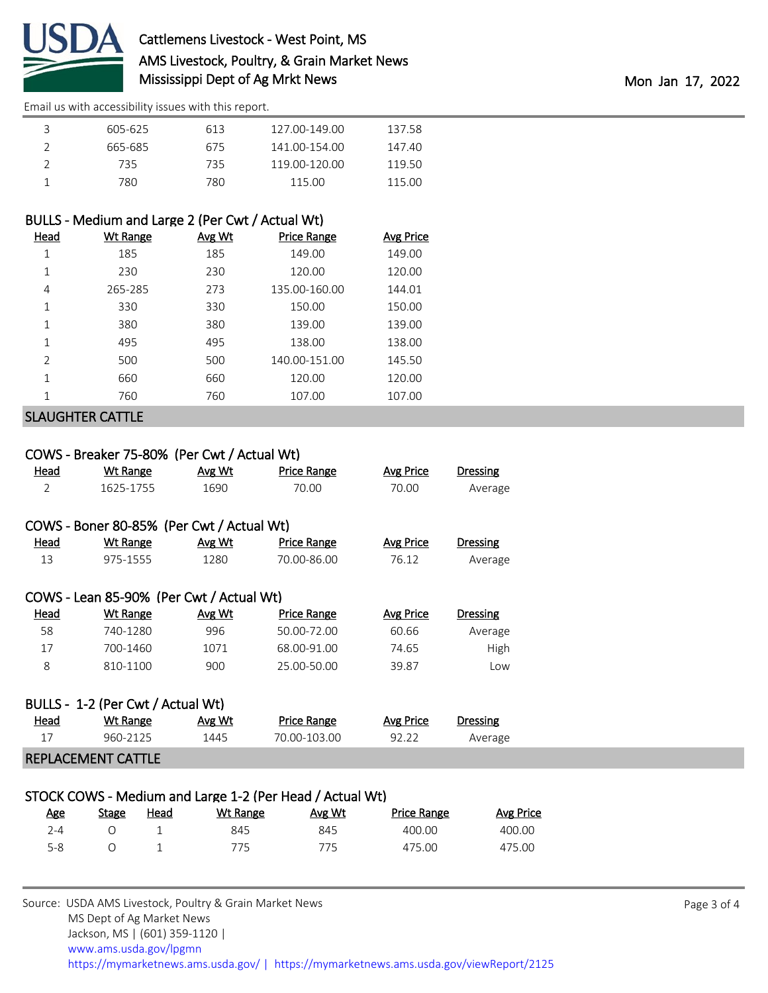

| 3 | 605-625 | 613 | 127.00-149.00 | 137.58 |
|---|---------|-----|---------------|--------|
|   | 665-685 | 675 | 141.00-154.00 | 147.40 |
|   | 735.    | 735 | 119.00-120.00 | 119.50 |
|   | 780.    | 780 | 115.00        | 115.00 |

# BULLS - Medium and Large 2 (Per Cwt / Actual Wt)

| <b>Head</b>             | <u>Wt Range</u> | Avg Wt | <b>Price Range</b> | <b>Avg Price</b> |  |
|-------------------------|-----------------|--------|--------------------|------------------|--|
| 1                       | 185             | 185    | 149.00             | 149.00           |  |
| 1                       | 230             | 230    | 120.00             | 120.00           |  |
| 4                       | 265-285         | 273    | 135.00-160.00      | 144.01           |  |
| 1                       | 330             | 330    | 150.00             | 150.00           |  |
| 1                       | 380             | 380    | 139.00             | 139.00           |  |
| 1                       | 495             | 495    | 138.00             | 138.00           |  |
| $\overline{2}$          | 500             | 500    | 140.00-151.00      | 145.50           |  |
| 1                       | 660             | 660    | 120.00             | 120.00           |  |
| 1                       | 760             | 760    | 107.00             | 107.00           |  |
| <b>SLAUGHTER CATTLE</b> |                 |        |                    |                  |  |

## COWS - Breaker 75-80% (Per Cwt / Actual Wt)

| <b>Head</b>                       | <b>Wt Range</b>                           | Avg Wt        | <b>Price Range</b> | <b>Avg Price</b> | Dressing        |  |  |
|-----------------------------------|-------------------------------------------|---------------|--------------------|------------------|-----------------|--|--|
| $\overline{2}$                    | 1625-1755                                 | 1690          | 70.00              | 70.00            | Average         |  |  |
|                                   |                                           |               |                    |                  |                 |  |  |
|                                   | COWS - Boner 80-85% (Per Cwt / Actual Wt) |               |                    |                  |                 |  |  |
| Head                              | Wt Range                                  | <u>Avg Wt</u> | Price Range        | <b>Avg Price</b> | <b>Dressing</b> |  |  |
| 13                                | 975-1555                                  | 1280          | 70.00-86.00        | 76.12            | Average         |  |  |
|                                   |                                           |               |                    |                  |                 |  |  |
|                                   | COWS - Lean 85-90% (Per Cwt / Actual Wt)  |               |                    |                  |                 |  |  |
| Head                              | Wt Range                                  | Avg Wt        | <b>Price Range</b> | <b>Avg Price</b> | <b>Dressing</b> |  |  |
| 58                                | 740-1280                                  | 996           | 50.00-72.00        | 60.66            | Average         |  |  |
| 17                                | 700-1460                                  | 1071          | 68.00-91.00        | 74.65            | High            |  |  |
| 8                                 | 810-1100                                  | 900           | 25.00-50.00        | 39.87            | Low             |  |  |
|                                   |                                           |               |                    |                  |                 |  |  |
| BULLS - 1-2 (Per Cwt / Actual Wt) |                                           |               |                    |                  |                 |  |  |
| Head                              | Wt Range                                  | Avg Wt        | <b>Price Range</b> | <b>Avg Price</b> | <b>Dressing</b> |  |  |
| 17                                | 960-2125                                  | 1445          | 70.00-103.00       | 92.22            | Average         |  |  |
| REPLACEMENT CATTLE                |                                           |               |                    |                  |                 |  |  |

### STOCK COWS - Medium and Large 1-2 (Per Head / Actual Wt)

| Age | Stage | <u>Head</u> | Wt Range | Avg Wt | <b>Price Range</b> | <b>Avg Price</b> |
|-----|-------|-------------|----------|--------|--------------------|------------------|
| 7-4 |       |             | 845      | 845    | 400.00             | 400.00           |
| 5-8 |       |             | 775.     | 775    | 475.00             | 475.00           |